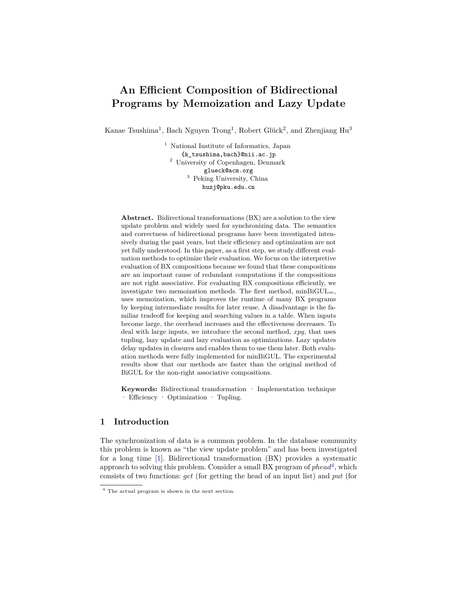# **An Efficient Composition of Bidirectional Programs by Memoization and Lazy Update**

Kanae Tsushima<sup>1</sup>, Bach Nguyen Trong<sup>1</sup>, Robert Glück<sup>2</sup>, and Zhenjiang Hu<sup>3</sup>

<sup>1</sup> National Institute of Informatics, Japan {k\_tsushima,bach}@nii.ac.jp <sup>2</sup> University of Copenhagen, Denmark glueck@acm.org <sup>3</sup> Peking University, China huzj@pku.edu.cn

**Abstract.** Bidirectional transformations (BX) are a solution to the view update problem and widely used for synchronizing data. The semantics and correctness of bidirectional programs have been investigated intensively during the past years, but their efficiency and optimization are not yet fully understood. In this paper, as a first step, we study different evaluation methods to optimize their evaluation. We focus on the interpretive evaluation of BX compositions because we found that these compositions are an important cause of redundant computations if the compositions are not right associative. For evaluating BX compositions efficiently, we investigate two memoization methods. The first method, min $\text{BiGUL}_m$ , uses memoization, which improves the runtime of many BX programs by keeping intermediate results for later reuse. A disadvantage is the familiar tradeoff for keeping and searching values in a table. When inputs become large, the overhead increases and the effectiveness decreases. To deal with large inputs, we introduce the second method, *xpg*, that uses tupling, lazy update and lazy evaluation as optimizations. Lazy updates delay updates in closures and enables them to use them later. Both evaluation methods were fully implemented for minBiGUL. The experimental results show that our methods are faster than the original method of BiGUL for the non-right associative compositions.

**Keywords:** Bidirectional transformation · Implementation technique · Efficiency · Optimization · Tupling.

# <span id="page-0-1"></span>**1 Introduction**

The synchronization of data is a common problem. In the database community this problem is known as "the view update problem" and has been investigated for a long time [\[1](#page-17-0)]. Bidirectional transformation (BX) provides a systematic approach to solving this problem. Consider a small BX program of *phead*[4](#page-0-0) , which consists of two functions: *get* (for getting the head of an input list) and *put* (for

<span id="page-0-0"></span><sup>4</sup> The actual program is shown in the next section.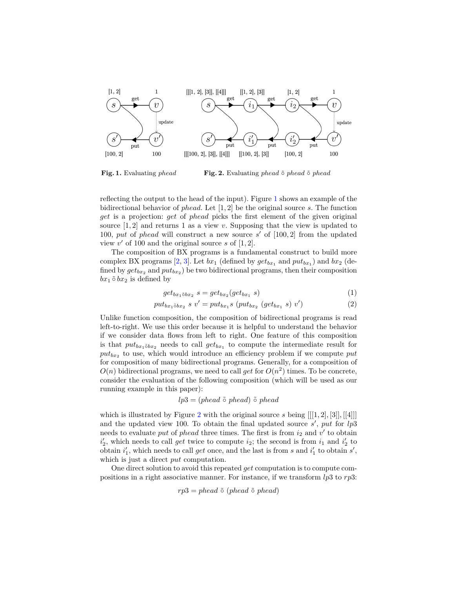

<span id="page-1-1"></span><span id="page-1-0"></span>**Fig. 1.** Evaluating *phead* **Fig. 2.** Evaluating *phead* ˜*◦ phead* ˜*◦ phead*

reflecting the output to the head of the input). Figure [1](#page-1-0) shows an example of the bidirectional behavior of *phead*. Let [1*,* 2] be the original source *s*. The function *get* is a projection: *get* of *phead* picks the first element of the given original source  $[1, 2]$  and returns 1 as a view *v*. Supposing that the view is updated to 100, *put* of *phead* will construct a new source *s ′* of [100*,* 2] from the updated view  $v'$  of 100 and the original source  $s$  of  $[1, 2]$ .

The composition of BX programs is a fundamental construct to build more complex BX programs [[2,](#page-17-1) [3](#page-17-2)]. Let  $bx_1$  (defined by  $get_{bx_1}$  and  $put_{bx_1}$ ) and  $bx_2$  (defined by  $get_{bx_2}$  and  $put_{bx_2}$ ) be two bidirectional programs, then their composition  $bx_1 \,\tilde{\circ}\, bx_2$  is defined by

$$
get_{bx_1\delta bx_2} s = get_{bx_2}(get_{bx_1} s)
$$
 (1)

$$
put_{bx_1\delta bx_2} s v' = put_{bx_1} s (put_{bx_2} (get_{bx_1} s) v') \tag{2}
$$

Unlike function composition, the composition of bidirectional programs is read left-to-right. We use this order because it is helpful to understand the behavior if we consider data flows from left to right. One feature of this composition is that  $put_{bx_1\delta bx_2}$  needs to call  $get_{bx_1}$  to compute the intermediate result for *putbx*<sup>2</sup> to use, which would introduce an efficiency problem if we compute *put* for composition of many bidirectional programs. Generally, for a composition of  $O(n)$  bidirectional programs, we need to call *get* for  $O(n^2)$  times. To be concrete, consider the evaluation of the following composition (which will be used as our running example in this paper):

$$
lp3 = (phead \,\tilde{\circ}\, phead) \,\tilde{\circ}\, phead
$$

which is illustrated by Figure [2](#page-1-1) with the original source *s* being [[[1*,* 2]*,* [3]]*,* [[4]]] and the updated view 100. To obtain the final updated source *s ′* , *put* for *lp*3 needs to evaluate *put* of *phead* three times. The first is from  $i_2$  and  $v'$  to obtain  $i'_2$ , which needs to call *get* twice to compute  $i_2$ ; the second is from  $i_1$  and  $i'_2$  to obtain  $i'_1$ , which needs to call *get* once, and the last is from *s* and  $i'_1$  to obtain  $s'$ , which is just a direct *put* computation.

One direct solution to avoid this repeated *get* computation is to compute compositions in a right associative manner. For instance, if we transform *lp*3 to *rp*3:

$$
rp3 = phead \tilde{\circ} (phead \tilde{\circ} phead)
$$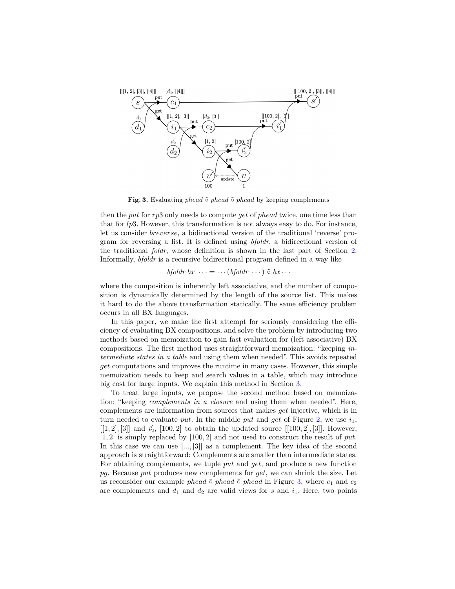

<span id="page-2-0"></span>**Fig. 3.** Evaluating *phead* ˜*◦ phead* ˜*◦ phead* by keeping complements

then the *put* for *rp*3 only needs to compute *get* of *phead* twice, one time less than that for *lp*3. However, this transformation is not always easy to do. For instance, let us consider *breverse*, a bidirectional version of the traditional 'reverse' program for reversing a list. It is defined using *bfoldr*, a bidirectional version of the traditional *foldr*, whose definition is shown in the last part of Section [2.](#page-3-0) Informally, *bfoldr* is a recursive bidirectional program defined in a way like

$$
bfoldr bx \cdots = \cdots (bfoldr \cdots) \tilde{\circ} bx \cdots
$$

where the composition is inherently left associative, and the number of composition is dynamically determined by the length of the source list. This makes it hard to do the above transformation statically. The same efficiency problem occurs in all BX languages.

In this paper, we make the first attempt for seriously considering the efficiency of evaluating BX compositions, and solve the problem by introducing two methods based on memoization to gain fast evaluation for (left associative) BX compositions. The first method uses straightforward memoization: "keeping *intermediate states in a table* and using them when needed". This avoids repeated *get* computations and improves the runtime in many cases. However, this simple memoization needs to keep and search values in a table, which may introduce big cost for large inputs. We explain this method in Section [3.](#page-6-0)

To treat large inputs, we propose the second method based on memoization: "keeping *complements in a closure* and using them when needed". Here, complements are information from sources that makes *get* injective, which is in turn needed to evaluate put. In the middle put and get of Figure [2,](#page-1-1) we use  $i_1$ ,  $[[1,2],[3]]$  and  $i'_{2}$ ,  $[100,2]$  to obtain the updated source  $[[100,2],[3]]$ . However, [1*,* 2] is simply replaced by [100*,* 2] and not used to construct the result of *put*. In this case we can use [..., [3]] as a complement. The key idea of the second approach is straightforward: Complements are smaller than intermediate states. For obtaining complements, we tuple *put* and *get*, and produce a new function *pg*. Because *put* produces new complements for *get*, we can shrink the size. Let us reconsider our example *phead* ˜*◦ phead* ˜*◦ phead* in Figure [3,](#page-2-0) where *c*<sup>1</sup> and *c*<sup>2</sup> are complements and  $d_1$  and  $d_2$  are valid views for  $s$  and  $i_1$ . Here, two points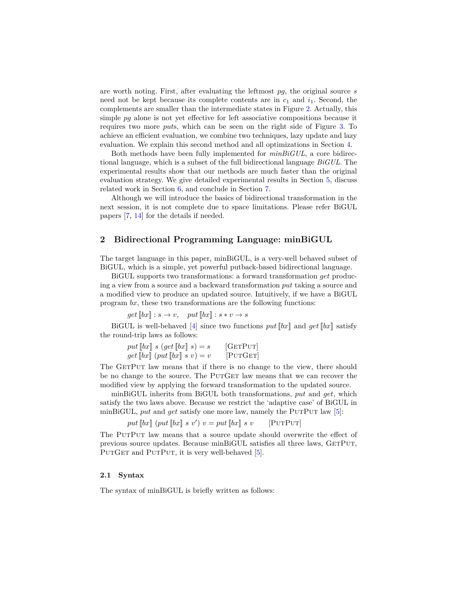are worth noting. First, after evaluating the leftmost *pg*, the original source *s* need not be kept because its complete contents are in  $c_1$  and  $i_1$ . Second, the complements are smaller than the intermediate states in Figure [2.](#page-1-1) Actually, this simple *pq* alone is not yet effective for left associative compositions because it requires two more *put*s, which can be seen on the right side of Figure [3.](#page-2-0) To achieve an efficient evaluation, we combine two techniques, lazy update and lazy evaluation. We explain this second method and all optimizations in Section [4.](#page-7-0)

Both methods have been fully implemented for *minBiGUL*, a core bidirectional language, which is a subset of the full bidirectional language *BiGUL*. The experimental results show that our methods are much faster than the original evaluation strategy. We give detailed experimental results in Section [5](#page-13-0), discuss related work in Section [6,](#page-16-0) and conclude in Section [7.](#page-16-1)

Although we will introduce the basics of bidirectional transformation in the next session, it is not complete due to space limitations. Please refer BiGUL papers [\[7](#page-18-0), [14](#page-18-1)] for the details if needed.

# <span id="page-3-0"></span>**2 Bidirectional Programming Language: minBiGUL**

The target language in this paper, minBiGUL, is a very-well behaved subset of BiGUL, which is a simple, yet powerful putback-based bidirectional language.

BiGUL supports two transformations: a forward transformation *get* producing a view from a source and a backward transformation *put* taking a source and a modified view to produce an updated source. Intuitively, if we have a BiGUL program *bx*, these two transformations are the following functions:

 $get[[bx] : s \rightarrow v, \quad put[[bx] : s * v \rightarrow s]$ 

BiGUL is well-behaved [\[4](#page-17-3)] since two functions  $put$  [[*bx*]] and  $get$  [[*bx*]] satisfy the round-trip laws as follows:

| put $[\![bx]\!]$ s $(\text{get } [\![bx]\!])$ s $)= s$ | [GETPUT] |
|--------------------------------------------------------|----------|
| $get [[bx] (put [[bx] s v) = v$                        | [PUTGET] |

The GETPUT law means that if there is no change to the view, there should be no change to the source. The PUTGET law means that we can recover the modified view by applying the forward transformation to the updated source.

minBiGUL inherits from BiGUL both transformations, *put* and *get*, which satisfy the two laws above. Because we restrict the 'adaptive case' of BiGUL in minBiGUL, *put* and *get* satisfy one more law, namely the PutPut law [\[5](#page-17-4)]:

$$
put [[bx] (put [[bx] s v') v = put [[bx] s v \t [PUTPUT]
$$

The PutPut law means that a source update should overwrite the effect of previous source updates. Because minBiGUL satisfies all three laws, GetPut, PUTGET and PUTPUT, it is very well-behaved [\[5](#page-17-4)].

#### **2.1 Syntax**

The syntax of minBiGUL is briefly written as follows: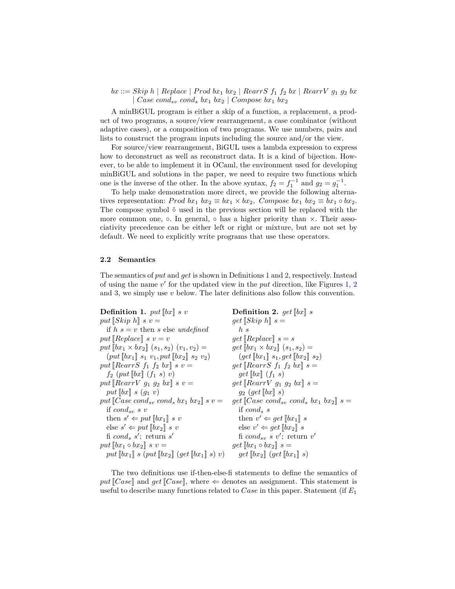$bx ::=$  *Skip h* | *Replace* | *Prod bx*<sub>1</sub> *bx*<sub>2</sub> | *RearrS*  $f_1$   $f_2$  *bx* | *RearrV*  $g_1$   $g_2$  *bx | Case condsv cond<sup>s</sup> bx*<sup>1</sup> *bx*<sup>2</sup> *| Compose bx*<sup>1</sup> *bx*<sup>2</sup>

A minBiGUL program is either a skip of a function, a replacement, a product of two programs, a source/view rearrangement, a case combinator (without adaptive cases), or a composition of two programs. We use numbers, pairs and lists to construct the program inputs including the source and/or the view.

For source/view rearrangement, BiGUL uses a lambda expression to express how to deconstruct as well as reconstruct data. It is a kind of bijection. However, to be able to implement it in OCaml, the environment used for developing minBiGUL and solutions in the paper, we need to require two functions which one is the inverse of the other. In the above syntax,  $f_2 = f_1^{-1}$  and  $g_2 = g_1^{-1}$ .

To help make demonstration more direct, we provide the following alternatives representation: *Prod bx*<sub>1</sub>  $bx_2 \equiv bx_1 \times bx_2$ , *Compose bx*<sub>1</sub>  $bx_2 \equiv bx_1 \circ bx_2$ . The compose symbol  $\tilde{\circ}$  used in the previous section will be replaced with the more common one, *◦*. In general, *◦* has a higher priority than *×*. Their associativity precedence can be either left or right or mixture, but are not set by default. We need to explicitly write programs that use these operators.

#### **2.2 Semantics**

The semantics of *put* and *get* is shown in Definitions [1](#page-4-0) and [2](#page-4-1), respectively. Instead of using the name *v ′* for the updated view in the *put* direction, like Figures [1,](#page-1-0) [2](#page-1-1) and [3](#page-2-0), we simply use *v* below. The later definitions also follow this convention.

<span id="page-4-1"></span><span id="page-4-0"></span>

| <b>Definition 1.</b> put $\llbracket bx \rrbracket$ s v                             | <b>Definition 2.</b> get $\llbracket bx \rrbracket$ s                                    |
|-------------------------------------------------------------------------------------|------------------------------------------------------------------------------------------|
| put $\llbracket \text{Skip } h \rrbracket$ s v =                                    | $get$ $[Skip h]$ $s =$                                                                   |
| if $h s = v$ then s else undefined                                                  | h s                                                                                      |
| put [Replace] $s v = v$                                                             | $get$ [Replace] $s = s$                                                                  |
| put $[\![bx_1 \times bx_2]\!]$ $(s_1, s_2)$ $(v_1, v_2) =$                          | $get \llbracket bx_1 \times bx_2 \rrbracket (s_1, s_2) =$                                |
| $(put \llbracket bx_1 \rrbracket s_1 v_1, put \llbracket bx_2 \rrbracket s_2 v_2)$  | $(get \llbracket bx_1 \rrbracket \ s_1, get \llbracket bx_2 \rrbracket \ s_2)$           |
| put RearrS $f_1$ $f_2$ $bx$ $\smash{g}$ $s$ $v =$                                   | $get$ [RearrS $f_1$ $f_2$ $bx$ ] $s =$                                                   |
| $f_2$ (put $[\![bx]\!]$ ( $f_1$ s) v)                                               | $get[[bx]](f_1 s)$                                                                       |
| put RearrV $g_1$ $g_2$ $bx$ $\smash{g}$ $s$ $v =$                                   | $get$ [RearrV $g_1$ $g_2$ $bx$ ] $s =$                                                   |
| put $  bx   s(q_1 v)$                                                               | $g_2$ (get $\llbracket bx \rrbracket$ s)                                                 |
| put $\llbracket Case \; cond_{sv} \; cond_s \; bx_1 \; bx_2 \rrbracket \; s \; v =$ | $get$ [Case cond <sub>sv</sub> cond <sub>s</sub> bx <sub>1</sub> bx <sub>2</sub> ] $s =$ |
| if $cond_{sv} s v$                                                                  | if $cond_s$ s                                                                            |
| then $s' \Leftarrow put \Vert bx_1 \Vert s v$                                       | then $v' \Leftarrow get \Vert bx_1 \Vert s$                                              |
| else $s' \Leftarrow put[[bx_2]] s v$                                                | else $v' \Leftarrow get \llbracket bx_2 \rrbracket s$                                    |
| fi cond <sub>s</sub> s'; return s'                                                  | fi cond <sub>sv</sub> s v'; return v'                                                    |
| put $[\![bx_1 \circ bx_2]\!]$ s $v =$                                               | $get \llbracket bx_1 \circ bx_2 \rrbracket$ s =                                          |
| put $[\![bx_1]\!]$ s (put $[\![bx_2]\!]$ (get $[\![bx_1]\!]$ s) v)                  | $get \llbracket bx_2 \rrbracket (get \llbracket bx_1 \rrbracket s)$                      |

The two definitions use if-then-else-fi statements to define the semantics of *put*  $[Case]$  and *get*  $[Case]$ , where  $\Leftarrow$  denotes an assignment. This statement is useful to describe many functions related to *Case* in this paper. Statement (if *E*<sup>1</sup>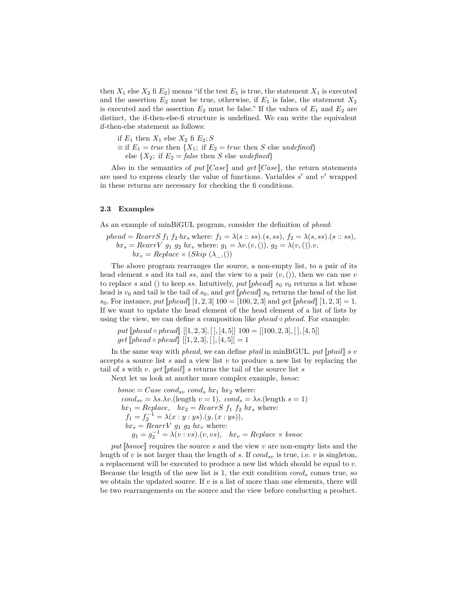then  $X_1$  else  $X_2$  fi  $E_2$ ) means "if the test  $E_1$  is true, the statement  $X_1$  is executed and the assertion  $E_2$  must be true, otherwise, if  $E_1$  is false, the statement  $X_2$ is executed and the assertion  $E_2$  must be false." If the values of  $E_1$  and  $E_2$  are distinct, the if-then-else-fi structure is undefined. We can write the equivalent if-then-else statement as follows:

if  $E_1$  then  $X_1$  else  $X_2$  fi  $E_2$ ; *S*  $\equiv$  if  $E_1 = true$  then  $\{X_1; \text{ if } E_2 = true \text{ then } S \text{ else } undefined\}$ else  $\{X_2$ ; if  $E_2 = \text{false}$  then *S* else *undefined*}

Also in the semantics of *put*[[*Case*]] and *get*[[*Case*]], the return statements are used to express clearly the value of functions. Variables *s ′* and *v ′* wrapped in these returns are necessary for checking the fi conditions.

#### **2.3 Examples**

As an example of minBiGUL program, consider the definition of *phead*:

*phead* = *RearrS* 
$$
f_1 f_2 bx_s
$$
 where:  $f_1 = \lambda(s::ss)$ . $(s,ss)$ ,  $f_2 = \lambda(s,ss)$ . $(s::ss)$ ,  $bx_s = RearrV$   $g_1 g_2 bx_v$  where:  $g_1 = \lambda v.(v, ()), g_2 = \lambda(v, ()).v$ ,  $bx_v = Replace \times (Skip (\lambda_-())$ 

The above program rearranges the source, a non-empty list, to a pair of its head element *s* and its tail *ss*, and the view to a pair  $(v, ())$ , then we can use *v* to replace *s* and () to keep *ss*. Intuitively,  $put$  [[ $phead$ ]  $s_0$   $v_0$  returns a list whose head is  $v_0$  and tail is the tail of  $s_0$ , and *get* [*phead*]  $s_0$  returns the head of the list *s*<sub>0</sub>. For instance, *put* [*phead*] [1*,* 2*,* 3]  $100 = [100, 2, 3]$  and *get* [*phead*] [1*,* 2*,* 3] = 1. If we want to update the head element of the head element of a list of lists by using the view, we can define a composition like *phead ◦ phead*. For example:

*put*[[*phead ◦ phead*]] [[1*,* 2*,* 3]*,* [ ]*,* [4*,* 5]] 100 = [[100*,* 2*,* 3]*,* [ ]*,* [4*,* 5]]  $get$  [[phead  $\circ$  phead]] [[1, 2, 3], [], [4, 5]] = 1

In the same way with *phead*, we can define *ptail* in minBiGUL. *put*[[*ptail*]] *s v* accepts a source list *s* and a view list *v* to produce a new list by replacing the tail of *s* with *v*. *get*  $[ptail]$  *s* returns the tail of the source list *s* 

Next let us look at another more complex example, *bsnoc*:

 $bsnoc = Case\ cond_{sv}\ cond_{s}bx_1\ bx_2$  where:  $cond_{sv} = \lambda s.\lambda v.$ (length  $v = 1$ )*, cond<sub>s</sub>* =  $\lambda s.$ (length  $s = 1$ )  $bx_1 = Replace$ ,  $bx_2 = RearrS$   $f_1$   $f_2$   $bx_s$  where:  $f_1 = f_2^{-1} = \lambda(x : y : ys) \cdot (y, (x : ys)),$  $bx_s = RearrV$   $g_1$   $g_2$   $bx_v$  where:  $g_1 = g_2^{-1} = \lambda(v : vs) . (v, vs), \quad bx_v = Replace \times bsnoc$ 

*put*[[*bsnoc*]] requires the source *s* and the view *v* are non-empty lists and the length of *v* is not larger than the length of *s*. If  $cond_{sv}$  is true, i.e. *v* is singleton, a replacement will be executed to produce a new list which should be equal to *v*. Because the length of the new list is 1, the exit condition *cond<sup>s</sup>* comes true, so we obtain the updated source. If  $v$  is a list of more than one elements, there will be two rearrangements on the source and the view before conducting a product.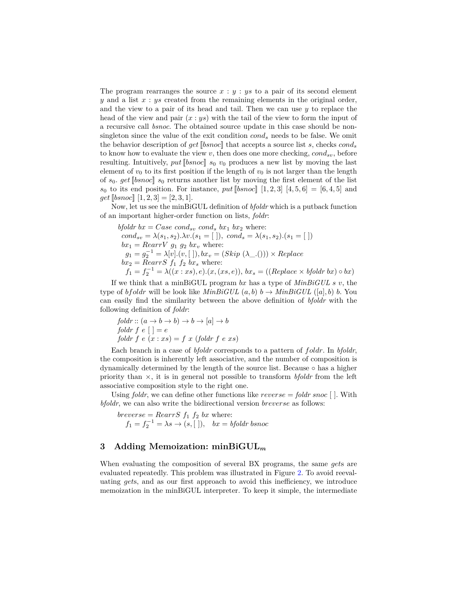The program rearranges the source  $x : y : y$  to a pair of its second element *y* and a list *x* : *ys* created from the remaining elements in the original order, and the view to a pair of its head and tail. Then we can use *y* to replace the head of the view and pair (*x* : *ys*) with the tail of the view to form the input of a recursive call *bsnoc*. The obtained source update in this case should be nonsingleton since the value of the exit condition *cond<sup>s</sup>* needs to be false. We omit the behavior description of *get*[[*bsnoc*]] that accepts a source list *s*, checks *cond<sup>s</sup>* to know how to evaluate the view  $v$ , then does one more checking,  $cond_{sv}$ , before resulting. Intuitively,  $put$  [[ $bsnoc$ ]]  $s_0$   $v_0$  produces a new list by moving the last element of  $v_0$  to its first position if the length of  $v_0$  is not larger than the length of  $s_0$ . get [bsnoc]]  $s_0$  returns another list by moving the first element of the list *s*<sub>0</sub> to its end position. For instance, *put* [[bsnoc]] [1, 2, 3] [4, 5, 6] = [6, 4, 5] and  $get$  [[bsnoc]]  $[1, 2, 3] = [2, 3, 1].$ 

Now, let us see the minBiGUL definition of *bfoldr* which is a putback function of an important higher-order function on lists, *foldr*:

$$
bfoldr bx = Case\ cond_{sv}\ cond_s bx_1 bx_2 where:\ncond_{sv} = \lambda(s_1, s_2) . \lambda v.(s_1 = [~]),\ cond_s = \lambda(s_1, s_2) . (s_1 = [~])\nbx_1 = RearrV g_1 g_2 bx_v where:\ng_1 = g_2^{-1} = \lambda[v].(v, [~]), bx_v = (Skip (\lambda ... ())) \times Replace\nbx_2 = RearrS f_1 f_2 bx_s where:\nf_1 = f_2^{-1} = \lambda((x : xs, e). (x, (xs, e)), bx_s = ((Replace \times bfoldr bx) \circ bx)
$$

If we think that a minBiGUL program *bx* has a type of *MinBiGUL s v*, the type of *bfoldr* will be look like  $MinBiGUL(a, b)$   $b \rightarrow MinBiGUL([a], b)$  *b*. You can easily find the similarity between the above definition of *bfoldr* with the following definition of *foldr*:

$$
foldr :: (a \rightarrow b \rightarrow b) \rightarrow b \rightarrow [a] \rightarrow b
$$
  

$$
foldr f e [] = e
$$
  

$$
foldr f e (x : xs) = f x (foldr f e xs)
$$

Each branch in a case of *bfoldr* corresponds to a pattern of *foldr*. In *bfoldr*, the composition is inherently left associative, and the number of composition is dynamically determined by the length of the source list. Because *◦* has a higher priority than *×*, it is in general not possible to transform *bfoldr* from the left associative composition style to the right one.

Using *foldr*, we can define other functions like *reverse* = *foldr snoc* [ ]. With *bfoldr*, we can also write the bidirectional version *breverse* as follows:

 $breverse = RearrS f_1 f_2 bx where:$  $f_1 = f_2^{-1} = \lambda s \rightarrow (s, [\ ])$ ,  $bx = bfoldr \text{ bsnoc}$ 

# <span id="page-6-0"></span>**3 Adding Memoization: minBiGUL***<sup>m</sup>*

When evaluating the composition of several BX programs, the same *get*s are evaluated repeatedly. This problem was illustrated in Figure [2](#page-1-1). To avoid reevaluating *get*s, and as our first approach to avoid this inefficiency, we introduce memoization in the minBiGUL interpreter. To keep it simple, the intermediate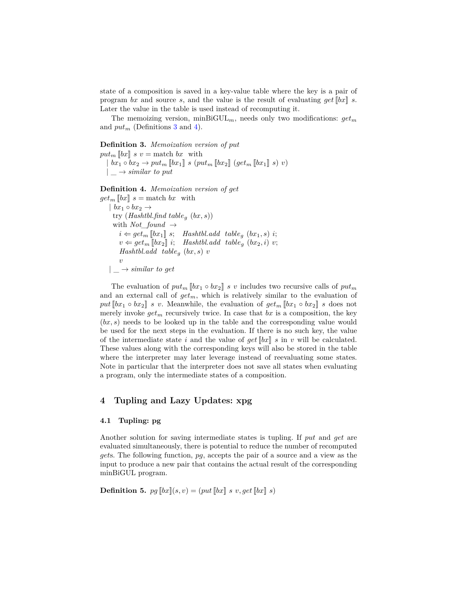state of a composition is saved in a key-value table where the key is a pair of program *bx* and source *s*, and the value is the result of evaluating *get*[[*bx*]] *s*. Later the value in the table is used instead of recomputing it.

The memoizing version, minBiGUL<sub>m</sub>, needs only two modifications:  $get_m$ and  $put_m$  (Definitions [3](#page-7-1) and [4](#page-7-2)).

### <span id="page-7-1"></span>**Definition 3.** *Memoization version of put*

 $put_m$   $\llbracket bx \rrbracket$  *s*  $v =$  match *bx* with *| bx*<sup>1</sup> *◦ bx*<sup>2</sup> *→ put<sup>m</sup>* [[*bx*1]] *s* (*put<sup>m</sup>* [[*bx*2]] (*get<sup>m</sup>* [[*bx*1]] *s*) *v*)  $|\rightarrow$  *similar to put* 

<span id="page-7-2"></span>**Definition 4.** *Memoization version of get*

```
get_m[[bx]] s = match bx with
| bx<sub>1</sub> \circ bx<sub>2</sub> \rightarrowtry (Hashtbl.find tableg (bx, s))
  with Not_found →
     i \leftarrow get_m \llbracket bx_1 \rrbracket \; s; \; \text{Hashtbl.add table}_q \; (bx_1, s) \; i;v \leftarrow get_m \overline{[}bx_2 \overline{]}\overline{!}; Hashtbl.add table_g (bx_2, i) v;
     Hashtbl.add tableg (bx, s) v
     v
| \rightarrow \text{similar to get}
```
The evaluation of  $put_m [bx_1 \circ bx_2]$  *s v* includes two recursive calls of  $put_m$ and an external call of *getm*, which is relatively similar to the evaluation of *put*[ $bx_1 \circ bx_2$ ] *s v*. Meanwhile, the evaluation of  $get_m[[bx_1 \circ bx_2]]$  *s* does not merely invoke  $get_m$  recursively twice. In case that  $bx$  is a composition, the key (*bx, s*) needs to be looked up in the table and the corresponding value would be used for the next steps in the evaluation. If there is no such key, the value of the intermediate state *i* and the value of  $get \llbracket bx \rrbracket s$  in *v* will be calculated. These values along with the corresponding keys will also be stored in the table where the interpreter may later leverage instead of reevaluating some states. Note in particular that the interpreter does not save all states when evaluating a program, only the intermediate states of a composition.

# <span id="page-7-0"></span>**4 Tupling and Lazy Updates: xpg**

### <span id="page-7-3"></span>**4.1 Tupling: pg**

Another solution for saving intermediate states is tupling. If *put* and *get* are evaluated simultaneously, there is potential to reduce the number of recomputed *get*s. The following function, *pg*, accepts the pair of a source and a view as the input to produce a new pair that contains the actual result of the corresponding minBiGUL program.

**Definition 5.**  $pg$   $[bx](s, v) = (put$   $[bx] s v, get$   $[bx] s)$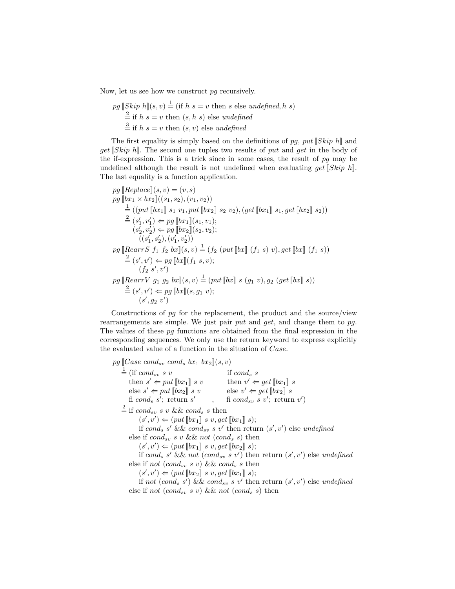Now, let us see how we construct *pg* recursively.

pg 
$$
[Skip h](s, v) \stackrel{1}{=} (\text{if } h s = v \text{ then } s \text{ else undefined}, h s)
$$
  $\stackrel{2}{=}$  if  $h s = v \text{ then } (s, h s)$  else undefined  $\stackrel{3}{=}$  if  $h s = v \text{ then } (s, v)$  else undefined

The first equality is simply based on the definitions of *pg*, *put*[[*Skip h*]] and *get*[[*Skip h*]]. The second one tuples two results of *put* and *get* in the body of the if-expression. This is a trick since in some cases, the result of *pg* may be undefined although the result is not undefined when evaluating *get*[[*Skip h*]]. The last equality is a function application.

$$
pg [[Replace][s, v) = (v, s)]
$$
  
\n
$$
pg [[bx_1 \times bx_2]]((s_1, s_2), (v_1, v_2))
$$
  
\n
$$
\stackrel{1}{=} ((put [[bx_1] s_1 v_1, put [[bx_2] s_2 v_2), (get [[bx_1] s_1, get [[bx_2] s_2))
$$
  
\n
$$
\stackrel{2}{=} (s'_1, v'_1) \Leftarrow pg [[bx_1](s_1, v_1);
$$
  
\n
$$
(s'_2, v'_2) \Leftarrow pg [[bx_2]](s_2, v_2);
$$
  
\n
$$
(\langle s'_1, s'_2 \rangle, (v'_1, v'_2))
$$
  
\n
$$
pg [[RearrS f_1 f_2 bx] (s, v) = (f_2 (put [[bx] (f_1 s) v), get [[bx] (f_1 s))
$$
  
\n
$$
\stackrel{2}{=} (s', v') \Leftarrow pg [[bx] (f_1 s, v);
$$
  
\n
$$
(f_2 s', v')
$$
  
\n
$$
pg [[RearrV g_1 g_2 bx] (s, v) = (put [[bx] s (g_1 v), g_2 (get [[bx] s))
$$
  
\n
$$
\stackrel{2}{=} (s', v') \Leftarrow pg [[bx] (s, g_1 v);
$$
  
\n
$$
(s', g_2 v')
$$

Constructions of *pg* for the replacement, the product and the source/view rearrangements are simple. We just pair *put* and *get*, and change them to *pg*. The values of these *pg* functions are obtained from the final expression in the corresponding sequences. We only use the return keyword to express explicitly the evaluated value of a function in the situation of *Case*.

 $pg$  [*Case cond<sub>sv</sub> cond<sub>s</sub> bx*<sub>1</sub> *bx*<sub>2</sub>] $(s, v)$  $\stackrel{1}{=}$  (if *cond<sub>sv</sub> s v* if *cond<sub>s</sub> s* then  $s' \Leftarrow put[[bx_1]] \ s \ v$  then  $v' \Leftarrow get[[bx_1]] \ s$  $\text{else } s' \Leftarrow put \llbracket bx_2 \rrbracket \text{ } s \text{ } v \qquad \text{else } v' \Leftarrow get \llbracket bx_2 \rrbracket \text{ } s$ fi *cond*<sup>s</sup> *s'*; return *s'* , fi *cond*<sub>sv</sub> *s v'*; return *v'*)  $\stackrel{2}{=}$  if *cond<sub>sv</sub> s v* && *cond<sub>s</sub> s* then  $(s', v') \Leftarrow (put \llbracket bx_1 \rrbracket \; s \; v, get \llbracket bx_1 \rrbracket \; s);$ if *cond<sup>s</sup> s ′* && *condsv s v′* then return (*s ′ , v′* ) else *undefined* else if  $cond_{sv} s v \& w not (cond_s s)$  then  $(s', v') \Leftarrow (put \llbracket bx_1 \rrbracket \; s \; v, get \llbracket bx_2 \rrbracket \; s);$ if *cond<sup>s</sup> s ′* && *not* (*condsv s v′* ) then return (*s ′ , v′* ) else *undefined* else if *not* (*cond<sub>sv</sub> s v*) && *cond<sub>s</sub> s* then  $(s', v') \Leftarrow (put \llbracket bx_2 \rrbracket \; s \; v, get \llbracket bx_1 \rrbracket \; s);$ if *not*  $(cond<sub>s</sub> s')$  &&  $cond<sub>sv</sub> s v'$  then return  $(s', v')$  else *undefined* 

else if *not* (*cond<sub>sv</sub> s v*) && *not* (*cond<sub>s</sub> s*) then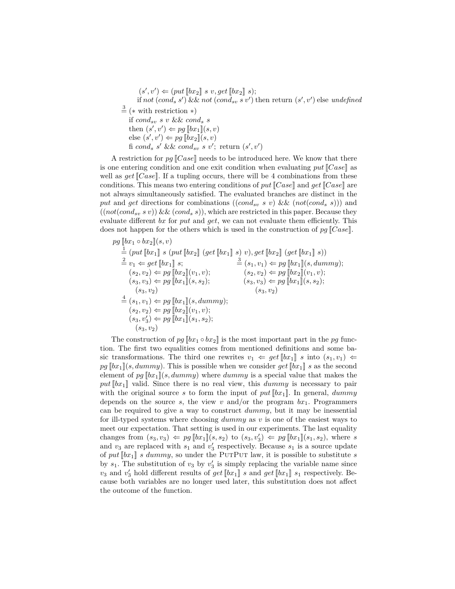$(s', v') \Leftarrow (put \llbracket bx_2 \rrbracket \; s \; v, get \llbracket bx_2 \rrbracket \; s);$ if *not*  $(cond<sub>s</sub> s')$  && *not*  $(cond<sub>sv</sub> s v')$  then return  $(s', v')$  else *undefined* <sup>3</sup>= (*∗* with restriction *∗*) if  $cond_{sv} s v \&& cond_{s} s$ then  $(s', v') \Leftarrow pg[[bx_1]](s, v)$ else  $(s', v') \Leftarrow pg[[bx_2]](s, v)$ fi *cond*<sup>*s*</sup> *s'* && *cond*<sub>*sv*</sub> *s v'*; return  $(s', v')$ 

A restriction for  $pg$   $[Case]$  needs to be introduced here. We know that there is one entering condition and one exit condition when evaluating *put*[[*Case*]] as well as *get*[[*Case*]]. If a tupling occurs, there will be 4 combinations from these conditions. This means two entering conditions of *put*[[*Case*]] and *get*[[*Case*]] are not always simultaneously satisfied. The evaluated branches are distinct in the put and get directions for combinations (( $cond_{sv} s v$ ) && ( $not(cond_s s)$ )) and  $((not (cond<sub>sv</sub> s v)) \& (cond<sub>s</sub> s))$ , which are restricted in this paper. Because they evaluate different *bx* for *put* and *get*, we can not evaluate them efficiently. This does not happen for the others which is used in the construction of *pg* [[*Case*]].

$$
pg [[bx_1 \circ bx_2]](s, v)
$$
  
\n
$$
= (put [[bx_1]] s (put [[bx_2]] (get [[bx_1]] s) v), get [[bx_2]] (get [[bx_1]] s))
$$
  
\n
$$
= v_1 \Leftarrow get [[bx_1]] s; \qquad \frac{3}{=} (s_1, v_1) \Leftarrow pg [[bx_1]](s, dummy);
$$
  
\n
$$
(s_2, v_2) \Leftarrow pg [[bx_2]](v_1, v); \qquad (s_2, v_2) \Leftarrow pg [[bx_2]](v_1, v);
$$
  
\n
$$
(s_3, v_3) \Leftarrow pg [[bx_1]](s, s_2); \qquad (s_3, v_3) \Leftarrow pg [[bx_1]](s, s_2);
$$
  
\n
$$
= (s_1, v_1) \Leftarrow pg [[bx_1]](s, dummy);
$$
  
\n
$$
(s_2, v_2) \Leftarrow pg [[bx_2]](v_1, v);
$$
  
\n
$$
(s_3, v'_3) \Leftarrow pg [[bx_1]](s_1, s_2);
$$
  
\n
$$
(s_3, v_2)
$$

The construction of  $pg \llbracket bx_1 \circ bx_2 \rrbracket$  is the most important part in the *pg* function. The first two equalities comes from mentioned definitions and some basic transformations. The third one rewrites  $v_1 \leftarrow get[[bx_1]] s$  into  $(s_1, v_1) \leftarrow$  $pg[[bx_1]](s, dummy)$ . This is possible when we consider *get*  $[[bx_1]]$  *s* as the second element of  $pg \llbracket bx_1 \rrbracket (s, dummy)$  where *dummy* is a special value that makes the  $put$  [ $bx_1$ ] valid. Since there is no real view, this *dummy* is necessary to pair with the original source *s* to form the input of  $put$   $[bx_1]$ . In general,  $dummy$ depends on the source *s*, the view *v* and/or the program  $bx_1$ . Programmers can be required to give a way to construct *dummy*, but it may be inessential for ill-typed systems where choosing *dummy* as *v* is one of the easiest ways to meet our expectation. That setting is used in our experiments. The last equality changes from  $(s_3, v_3) \Leftarrow pg [bx_1](s, s_2)$  to  $(s_3, v'_3) \Leftarrow pg [bx_1](s_1, s_2)$ , where *s* and  $v_3$  are replaced with  $s_1$  and  $v'_3$  respectively. Because  $s_1$  is a source update of put  $[\![bx_1]\!]$  *s* dummy, so under the PUTPUT law, it is possible to substitute *s* by  $s_1$ . The substitution of  $v_3$  by  $v'_3$  is simply replacing the variable name since  $v_3$  and  $v'_3$  hold different results of  $get[[bx_1]]$  *s* and  $get[[bx_1]]$  *s*<sub>1</sub> respectively. Because both variables are no longer used later, this substitution does not affect the outcome of the function.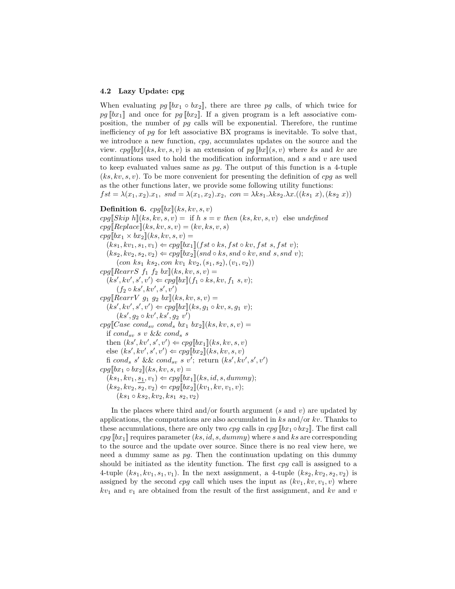#### **4.2 Lazy Update: cpg**

When evaluating  $pg[[bx_1 \circ bx_2]]$ , there are three pg calls, of which twice for  $pg[[bx_1]]$  and once for  $pg[[bx_2]]$ . If a given program is a left associative composition, the number of *pg* calls will be exponential. Therefore, the runtime inefficiency of *pg* for left associative BX programs is inevitable. To solve that, we introduce a new function, *cpg*, accumulates updates on the source and the view.  $cpg[[bx]](ks, kv, s, v)$  is an extension of  $pg[[bx]](s, v)$  where ks and kv are continuations used to hold the modification information, and *s* and *v* are used to keep evaluated values same as *pg*. The output of this function is a 4-tuple (*ks, kv, s, v*). To be more convenient for presenting the definition of *cpg* as well as the other functions later, we provide some following utility functions:

 $fst = \lambda(x_1, x_2) . x_1$ ,  $snd = \lambda(x_1, x_2) . x_2$ ,  $con = \lambda ks_1 . \lambda ks_2 . \lambda x. ((ks_1 x), (ks_2 x))$ 

**Definition 6.**  $cpg[[bx]](ks, kv, s, v)$  $cpq[Skip h](ks, kv, s, v) =$  if  $h s = v$  *then*  $(ks, kv, s, v)$  else *undefined*  $cpg[Replace](ks, kv, s, v) = (kv, ks, v, s)$  $cpg[[bx_1 \times bx_2]](ks, kv, s, v) =$  $(ks_1, kv_1, s_1, v_1) \Leftarrow cpg[[bx_1]](fst \circ ks, fst \circ kv, fst \ s, fst \ v);$  $(ks_2, kv_2, s_2, v_2) \Leftarrow cpg[[bx_2]](snd \circ ks,snd \circ kv,snd \ s,snd \ v);$ (*con ks*<sup>1</sup> *ks*2*, con kv*<sup>1</sup> *kv*2*,*(*s*1*, s*2)*,*(*v*1*, v*2))  $cpg[RearrS f_1 f_2 bx](ks, kv, s, v) =$  $(ks', kv', s', v') \Leftarrow cpg[[bx]](f_1 \circ ks, kv, f_1 \ s, v);$  $(f_2 \circ ks', kv', s', v')$  $cpg[RearrV \ g_1 \ g_2 \ bx](ks, kv, s, v) =$  $(ks', kv', s', v') \Leftarrow cpg[[bx]](ks, g_1 \circ kv, s, g_1 v);$  $(ks', g_2 \circ kv', ks', g_2 \ v')$  $cpg[[Case\;cond_{sv}\;cond_{s}\;bx_{1}\;bx_{2}](ks,kv,s,v)=$ if *condsv s v* && *cond<sup>s</sup> s* then  $(ks', kv', s', v') \Leftarrow cpg[[bx_1]](ks, kv, s, v)$ else  $(ks', kv', s', v') \Leftarrow cpg[[bx_2]](ks, kv, s, v)$ fi  $cond_s$   $s'$  &&  $cond_{sv}$   $s$   $v'$ ; return  $(ks', kv', s', v')$  $cpg[bx_1 \circ bx_2](ks, kv, s, v) =$  $(ks_1, kv_1, s_1, v_1) \Leftarrow cpg[[bx_1]](ks, id, s, dummy);$  $(ks_2, kv_2, s_2, v_2) \Leftarrow cpg[[bx_2]](kv_1, kv, v_1, v);$  $(ks_1 \circ ks_2, kv_2, ks_1 \ s_2, v_2)$ 

In the places where third and/or fourth argument (*s* and *v*) are updated by applications, the computations are also accumulated in *ks* and/or *kv*. Thanks to these accumulations, there are only two *cpg* calls in  $cpg$  [ $bx_1 \circ bx_2$ ]. The first call  $cpg$  [ $bx_1$ ]] requires parameter (*ks, id, s, dummy*) where *s* and *ks* are corresponding to the source and the update over source. Since there is no real view here, we need a dummy same as *pg*. Then the continuation updating on this dummy should be initiated as the identity function. The first *cpg* call is assigned to a 4-tuple  $(ks_1, kv_1, s_1, v_1)$ . In the next assignment, a 4-tuple  $(ks_2, kv_2, s_2, v_2)$  is assigned by the second *cpg* call which uses the input as  $(kv_1, kv, v_1, v)$  where *kv*<sup>1</sup> and *v*<sup>1</sup> are obtained from the result of the first assignment, and *kv* and *v*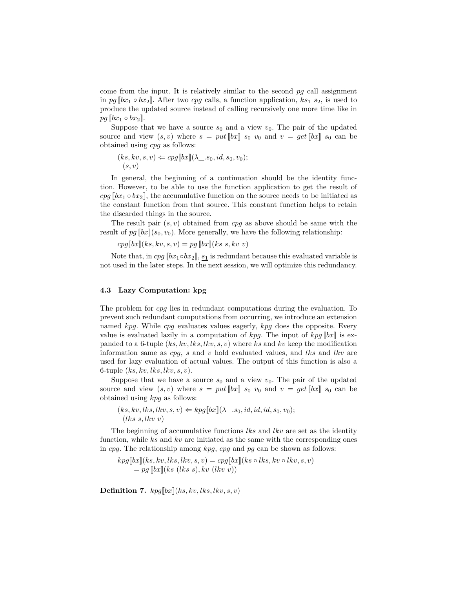come from the input. It is relatively similar to the second *pg* call assignment in *pg*  $[[bx_1 ∘ bx_2]]$ . After two *cpg* calls, a function application,  $ks_1$   $s_2$ , is used to produce the updated source instead of calling recursively one more time like in  $pg[[bx_1 \circ bx_2]].$ 

Suppose that we have a source  $s_0$  and a view  $v_0$ . The pair of the updated source and view  $(s, v)$  where  $s = put[[bx]] s_0 v_0$  and  $v = get[[bx]] s_0$  can be obtained using *cpg* as follows:

$$
(ks, kv, s, v) \Leftarrow cpg[[bx]](\lambda \_s_0, id, s_0, v_0);
$$
  

$$
(s, v)
$$

In general, the beginning of a continuation should be the identity function. However, to be able to use the function application to get the result of  $cpg$  [[ $bx_1 \circ bx_2$ ], the accumulative function on the source needs to be initiated as the constant function from that source. This constant function helps to retain the discarded things in the source.

The result pair (*s, v*) obtained from *cpg* as above should be same with the result of  $pg \llbracket bx \rrbracket(s_0, v_0)$ . More generally, we have the following relationship:

 $cpg[[bx](ks, kv, s, v) = pg[[bx](ks, skv, v)]$ 

Note that, in  $cpg[[bx_1 \circ bx_2], s_1]$  is redundant because this evaluated variable is not used in the later steps. In the next session, we will optimize this redundancy.

### **4.3 Lazy Computation: kpg**

The problem for *cpg* lies in redundant computations during the evaluation. To prevent such redundant computations from occurring, we introduce an extension named *kpg*. While *cpg* evaluates values eagerly, *kpg* does the opposite. Every value is evaluated lazily in a computation of  $kpg$ . The input of  $kpg$  [*bx*]] is expanded to a 6-tuple (*ks, kv, lks, lkv, s, v*) where *ks* and *kv* keep the modification information same as *cpg*, *s* and *v* hold evaluated values, and *lks* and *lkv* are used for lazy evaluation of actual values. The output of this function is also a 6-tuple (*ks, kv, lks, lkv, s, v*).

Suppose that we have a source  $s_0$  and a view  $v_0$ . The pair of the updated source and view  $(s, v)$  where  $s = put[[bx] s_0 v_0$  and  $v = get[[bx] s_0$  can be obtained using *kpg* as follows:

 $(ks, kv, lks, lkv, s, v) \leftarrow kpq[[bx]](\lambda s, 0, id, id, id, s_0, v_0);$ (*lks s, lkv v*)

The beginning of accumulative functions *lks* and *lkv* are set as the identity function, while *ks* and *kv* are initiated as the same with the corresponding ones in *cpg*. The relationship among *kpg*, *cpg* and *pg* can be shown as follows:

 $kpg[[bx]](ks, kv, lkv, s, v) = cpg[[bx]](ks \circ lks, kv \circ lkv, s, v)$  $=pq$   $[bx](ks$   $(lks s), kv$   $(lkv v))$ 

**Definition 7.**  $kpg[[bx]](ks, kv, lks, lkv, s, v)$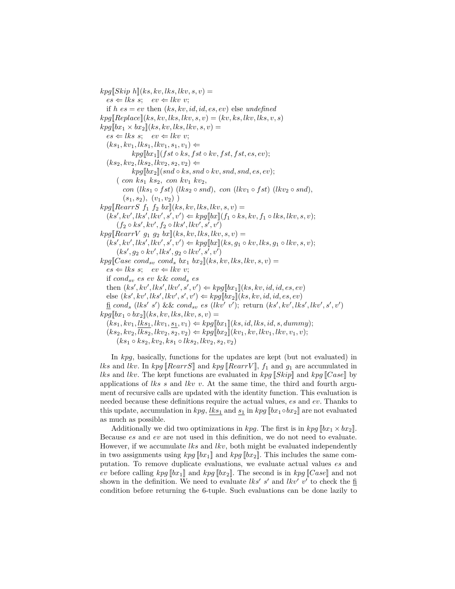$kpg$ [[*Skip h*]](*ks, kv, lks, lkv, s, v*) =  $es \Leftarrow$  *lks s*;  $ev \Leftarrow$  *lkv v*; if  $h$   $es = ev$  then  $(ks, kv, id, id, es, ev)$  else *undefined*  $kpg[\text{Replace}](ks, kv, lks, lkv, s, v) = (kv, ks, lkv, lks, v, s)$  $kpg[[bx_1 \times bx_2]](ks, kv, lks, lkv, s, v) =$  $es \Leftarrow$  *lks s*;  $ev \Leftarrow$  *lkv v*;  $(ks_1, kv_1, lks_1, lkv_1, s_1, v_1) \leftarrow$  $kpg[[bx_1]](fst \circ ks, fst \circ kv, fst, fst, es, ev);$  $(ks_2, kv_2, lks_2, lkv_2, s_2, v_2) \leftarrow$  $kpg[[bx_2]](snd ∘ ks, snd ∘ kv, snd, snd, es, ev);$ ( *con ks*<sup>1</sup> *ks*2*, con kv*<sup>1</sup> *kv*2*, con*  $(lks_1 \circ fst)$   $(lks_2 \circ snd)$ *, con*  $(lkv_1 \circ fst)$   $(lkv_2 \circ snd)$ *,*  $(s_1, s_2), (v_1, v_2)$  $kpg[RearrS f_1 f_2 bx](ks, kv, lks, lkv, s, v) =$  $(ks', kv', lkv', s', v') \Leftarrow kpg[[bx]](f_1 \circ ks, kv, f_1 \circ lks, lkv, s, v);$  $(f_2 \circ ks', kv', f_2 \circ lks', lkv', s', v')$  $kpg[RearrV$   $g_1$   $g_2$   $bx](ks, kv, lks, lkv, s, v) =$  $(ks', kv', lks', lkv', s', v') \Leftarrow kpg[[bx]](ks, g_1 \circ kv, lks, g_1 \circ lkv, s, v);$  $(ks', g_2 \circ kv', lks', g_2 \circ lkv', s', v')$  $kpg[[Case\;cond_{sv}\;cond_{s}\;bra\;h_{x_{1}}\;bx_{2}](ks,kv, lks, lkv, s, v) =$  $es \Leftarrow$  *lks s*;  $ev \Leftarrow$  *lkv v*; if *condsv es ev* && *cond<sup>s</sup> es* then  $(ks', kv', lks', lkv', s', v') \Leftarrow kpg[[bx_1]](ks, kv, id, id, es, ev)$  $\text{else } (ks', kv', lks', lkv', s', v') \Leftarrow kpg[[bx_2]](ks, kv, id, id, es, ev)$  $\underline{\mathbf{f}}$  cond<sub>s</sub> (lks' s') && cond<sub>sv</sub> es (lkv' v'); return (ks', kv', lks', lkv', s', v')  $kpg[[bx_1 \circ bx_2]](ks, kv, lks, lkv, s, v) =$  $(ks_1, kv_1, lks_1, lkv_1, s_1, v_1) \leftarrow kpg[[bx_1]](ks, id, lks, id, s, dummy);$  $(ks_2, kv_2, lks_2, lkv_2, s_2, v_2) \leftarrow kpg[[bx_2]](kv_1, kv, lkv_1, lkv, v_1, v);$  $(ks_1 \circ ks_2, kv_2, ks_1 \circ lks_2, lkv_2, s_2, v_2)$ 

In *kpg*, basically, functions for the updates are kept (but not evaluated) in *lks* and *lkv*. In  $kpg$  [[ $RearrS$ ] and  $kpg$  [[ $RearrV$ ]],  $f_1$  and  $g_1$  are accumulated in *lks* and *lkv*. The kept functions are evaluated in *kpg* [[*Skip*]] and *kpg* [[*Case*]] by applications of *lks s* and *lkv v*. At the same time, the third and fourth argument of recursive calls are updated with the identity function. This evaluation is needed because these definitions require the actual values, *es* and *ev*. Thanks to this update, accumulation in  $kpg$ ,  $lks_1$  and  $s_1$  in  $kpg$  [ $bx_1 \circ bx_2$ ] are not evaluated as much as possible.

Additionally we did two optimizations in *kpg*. The first is in  $kpg \left[bx_1 \times bx_2\right]$ . Because *es* and *ev* are not used in this definition, we do not need to evaluate. However, if we accumulate *lks* and *lkv*, both might be evaluated independently in two assignments using  $kpq \llbracket bx_1 \rrbracket$  and  $kpq \llbracket bx_2 \rrbracket$ . This includes the same computation. To remove duplicate evaluations, we evaluate actual values *es* and *ev* before calling  $kpq \llbracket bx_1 \rrbracket$  and  $kpq \llbracket bx_2 \rrbracket$ . The second is in  $kpq \llbracket Case \rrbracket$  and not shown in the definition. We need to evaluate  $lks' s'$  and  $lkv' v'$  to check the fi condition before returning the 6-tuple. Such evaluations can be done lazily to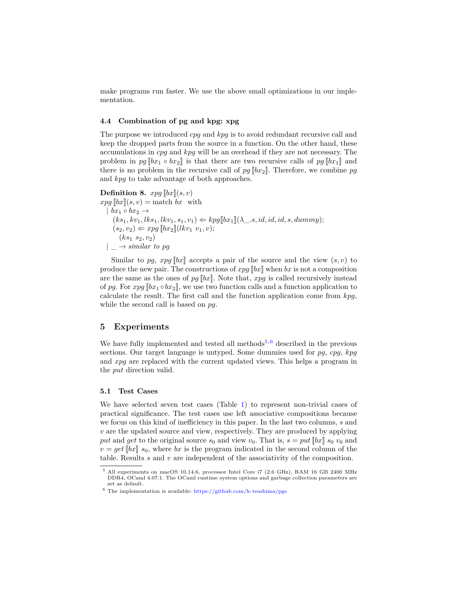make programs run faster. We use the above small optimizations in our implementation.

# **4.4 Combination of pg and kpg: xpg**

The purpose we introduced *cpg* and *kpg* is to avoid redundant recursive call and keep the dropped parts from the source in a function. On the other hand, these accumulations in *cpg* and *kpg* will be an overhead if they are not necessary. The problem in  $pg[[bx_1 \circ bx_2]]$  is that there are two recursive calls of  $pg[[bx_1]]$  and there is no problem in the recursive call of  $pg \llbracket bx_2 \rrbracket$ . Therefore, we combine pg and *kpg* to take advantage of both approaches.

**Definition 8.**  $xpg$   $[bx](s, v)$  $xpq$  [[*bx*]](*s, v*) = match *bx* with  $|$  *bx*<sub>1</sub>  $\circ$  *bx*<sub>2</sub>  $\rightarrow$  $(ks_1, kv_1, lks_1, lkv_1, s_1, v_1) \leftarrow kpg[[bx_1]](\lambda_1, s, id, id, id, s, dummy);$  $(s_2, v_2) \Leftarrow xpg[[bx_2]](lkv_1, v_1, v);$  $(ks_1, s_2, v_2)$  $| \rightarrow$  *similar to pg* 

Similar to pg, xpg  $||bx||$  accepts a pair of the source and the view  $(s, v)$  to produce the new pair. The constructions of *xpg* [[*bx*]] when *bx* is not a composition are the same as the ones of  $pg$   $[bx]$ . Note that,  $xpg$  is called recursively instead of *pg*. For *xpg* [[*bx*<sup>1</sup> *◦bx*2]], we use two function calls and a function application to calculate the result. The first call and the function application come from *kpg*, while the second call is based on *pg*.

# <span id="page-13-0"></span>**5 Experiments**

We have fully implemented and tested all methods<sup>[5](#page-13-1),[6](#page-13-2)</sup> described in the previous sections. Our target language is untyped. Some dummies used for *pg*, *cpg*, *kpg* and *xpg* are replaced with the current updated views. This helps a program in the *put* direction valid.

#### **5.1 Test Cases**

We have selected seven test cases (Table [1](#page-14-0)) to represent non-trivial cases of practical significance. The test cases use left associative compositions because we focus on this kind of inefficiency in this paper. In the last two columns, *s* and *v* are the updated source and view, respectively. They are produced by applying put and get to the original source  $s_0$  and view  $v_0$ . That is,  $s = put \llbracket bx \rrbracket$   $s_0$   $v_0$  and  $v = get$  [*bx*]]  $s_0$ , where *bx* is the program indicated in the second column of the table. Results *s* and *v* are independent of the associativity of the composition.

<span id="page-13-1"></span><sup>5</sup> All experiments on macOS 10.14.6, processor Intel Core i7 (2.6 GHz), RAM 16 GB 2400 MHz DDR4, OCaml 4.07.1. The OCaml runtime system options and garbage collection parameters are set as default.

<span id="page-13-2"></span> $6$  The implementation is available: <https://github.com/k-tsushima/pgs>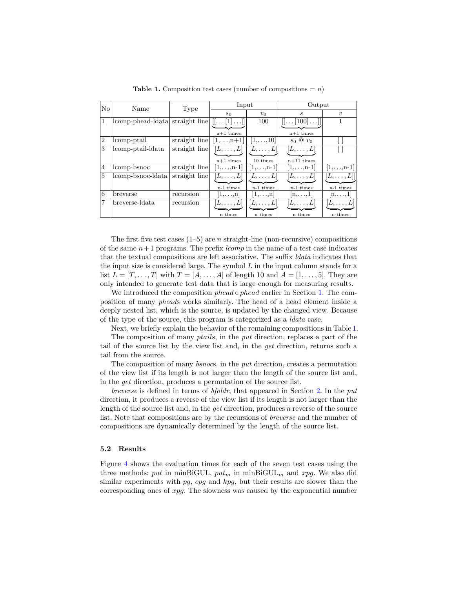| $\rm No$       | Name              | Type                               | Input            |                    | Output                               |                                      |
|----------------|-------------------|------------------------------------|------------------|--------------------|--------------------------------------|--------------------------------------|
|                |                   |                                    | s <sub>0</sub>   | $v_0$              | $\mathcal{S}_{\mathcal{S}}$          | $\eta$                               |
| 1              | comp-phead-data   | straight line $[[\dots [1] \dots]$ |                  | 100                | $[[\dots [100]\dots]]$               |                                      |
|                |                   |                                    | $n+1$ times      |                    | $n+1$ times                          |                                      |
| $\overline{2}$ | comp-ptail        | straight line                      | $1, \ldots, n+1$ | $[1,\ldots,10]$    | $s_0 \otimes v_0$                    |                                      |
| 3              | lcomp-ptail-ldata | straight line                      | $[L,\ldots,L]$   | $ L,\ldots,L $     | $ L,\ldots,L $                       |                                      |
|                |                   |                                    | $n+1$ times      | 10 times           | $n+11$ times                         |                                      |
| 4              | lcomp-bsnoc       | straight line                      | $[1,,n-1]$       | $ 1, \ldots, n-1 $ | $[1,,n-1]$                           | $[1,,n-1]$                           |
| $\overline{5}$ | lcomp-bsnoc-ldata | straight line                      | $ L,\ldots,L $   | $ L,\ldots,L $     | $[L,\ldots,L]$                       | $ L,\ldots,L $                       |
|                |                   |                                    |                  |                    |                                      |                                      |
|                |                   |                                    | $n-1$ times      | $n-1$ times        | $n-1$ times                          | n-1 times                            |
| 6              | breverse          | recursion                          | $ 1,\ldots,n $   | $[1,\ldots,n]$     | $\left  \mathbf{n},\ldots,1 \right $ | $\left  \text{n}, \ldots, 1 \right $ |
| 7              | breverse-Idata    | recursion                          | $[L,\ldots,L]$   | $ L,\ldots,L $     | $\vert L,\ldots,L\vert$              | $L, \ldots, L$                       |
|                |                   |                                    | n times          | n times            | n times                              | n times                              |

<span id="page-14-0"></span>**Table 1.** Composition test cases (number of compositions  $= n$ )

The first five test cases  $(1-5)$  are *n* straight-line (non-recursive) compositions of the same  $n+1$  programs. The prefix *lcomp* in the name of a test case indicates that the textual compositions are left associative. The suffix *ldata* indicates that the input size is considered large. The symbol *L* in the input column stands for a list  $L = [T, \ldots, T]$  with  $T = [A, \ldots, A]$  of length 10 and  $A = [1, \ldots, 5]$ . They are only intended to generate test data that is large enough for measuring results.

We introduced the composition *phead ◦ phead* earlier in Section [1](#page-0-1). The composition of many *phead*s works similarly. The head of a head element inside a deeply nested list, which is the source, is updated by the changed view. Because of the type of the source, this program is categorized as a *ldata* case.

Next, we briefly explain the behavior of the remaining compositions in Table [1.](#page-14-0) The composition of many *ptail*s, in the *put* direction, replaces a part of the tail of the source list by the view list and, in the *get* direction, returns such a tail from the source.

The composition of many *bsnoc*s, in the *put* direction, creates a permutation of the view list if its length is not larger than the length of the source list and, in the *get* direction, produces a permutation of the source list.

*breverse* is defined in terms of *bfoldr*, that appeared in Section [2.](#page-3-0) In the *put* direction, it produces a reverse of the view list if its length is not larger than the length of the source list and, in the *get* direction, produces a reverse of the source list. Note that compositions are by the recursions of *breverse* and the number of compositions are dynamically determined by the length of the source list.

#### **5.2 Results**

Figure [4](#page-15-0) shows the evaluation times for each of the seven test cases using the three methods: *put* in minBiGUL,  $put_m$  in minBiGUL<sub>m</sub> and *xpg*. We also did similar experiments with *pg*, *cpg* and *kpg*, but their results are slower than the corresponding ones of *xpg*. The slowness was caused by the exponential number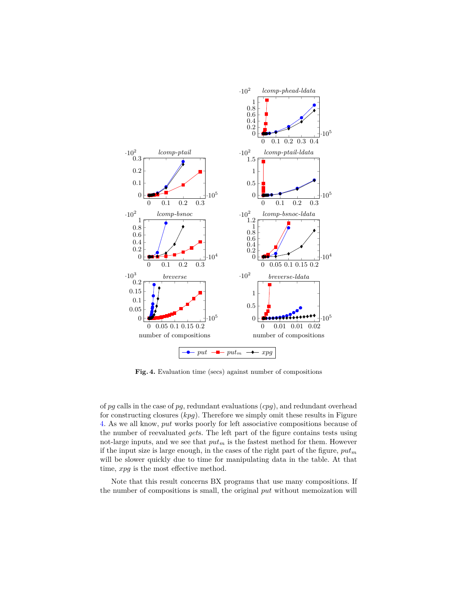

<span id="page-15-0"></span>**Fig. 4.** Evaluation time (secs) against number of compositions

of *pg* calls in the case of *pg*, redundant evaluations (*cpg*), and redundant overhead for constructing closures (*kpg*). Therefore we simply omit these results in Figure [4.](#page-15-0) As we all know, *put* works poorly for left associative compositions because of the number of reevaluated *get*s. The left part of the figure contains tests using not-large inputs, and we see that *put<sup>m</sup>* is the fastest method for them. However if the input size is large enough, in the cases of the right part of the figure, *put<sup>m</sup>* will be slower quickly due to time for manipulating data in the table. At that time, *xpg* is the most effective method.

Note that this result concerns BX programs that use many compositions. If the number of compositions is small, the original *put* without memoization will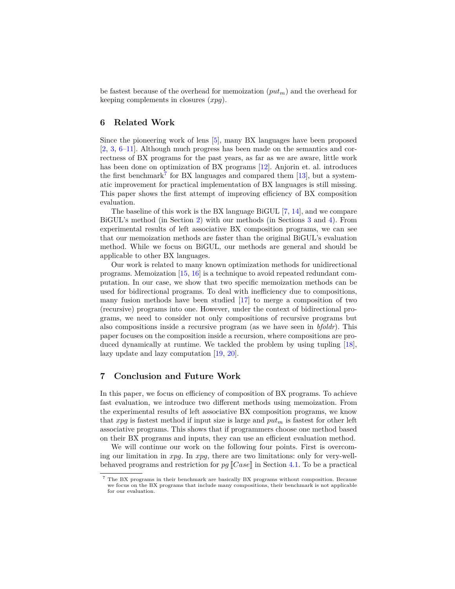be fastest because of the overhead for memoization (*putm*) and the overhead for keeping complements in closures (*xpg*).

# <span id="page-16-0"></span>**6 Related Work**

Since the pioneering work of lens [[5\]](#page-17-4), many BX languages have been proposed [[2,](#page-17-1) [3,](#page-17-2) [6](#page-17-5)[–11](#page-18-2)]. Although much progress has been made on the semantics and correctness of BX programs for the past years, as far as we are aware, little work has been done on optimization of BX programs [[12\]](#page-18-3). Anjorin et. al. introduces the first benchmark<sup>[7](#page-16-2)</sup> for BX languages and compared them  $[13]$  $[13]$ , but a systematic improvement for practical implementation of BX languages is still missing. This paper shows the first attempt of improving efficiency of BX composition evaluation.

The baseline of this work is the BX language BiGUL [\[7](#page-18-0), [14\]](#page-18-1), and we compare BiGUL's method (in Section [2](#page-3-0)) with our methods (in Sections [3](#page-6-0) and [4](#page-7-0)). From experimental results of left associative BX composition programs, we can see that our memoization methods are faster than the original BiGUL's evaluation method. While we focus on BiGUL, our methods are general and should be applicable to other BX languages.

Our work is related to many known optimization methods for unidirectional programs. Memoization [\[15](#page-18-5), [16\]](#page-18-6) is a technique to avoid repeated redundant computation. In our case, we show that two specific memoization methods can be used for bidirectional programs. To deal with inefficiency due to compositions, many fusion methods have been studied [[17\]](#page-18-7) to merge a composition of two (recursive) programs into one. However, under the context of bidirectional programs, we need to consider not only compositions of recursive programs but also compositions inside a recursive program (as we have seen in *bfoldr*). This paper focuses on the composition inside a recursion, where compositions are produced dynamically at runtime. We tackled the problem by using tupling [\[18](#page-18-8)], lazy update and lazy computation [\[19,](#page-18-9) [20](#page-18-10)].

# <span id="page-16-1"></span>**7 Conclusion and Future Work**

In this paper, we focus on efficiency of composition of BX programs. To achieve fast evaluation, we introduce two different methods using memoization. From the experimental results of left associative BX composition programs, we know that *xpg* is fastest method if input size is large and *put<sup>m</sup>* is fastest for other left associative programs. This shows that if programmers choose one method based on their BX programs and inputs, they can use an efficient evaluation method.

We will continue our work on the following four points. First is overcoming our limitation in *xpg*. In *xpg*, there are two limitations: only for very-wellbehaved programs and restriction for *pg* [[*Case*]] in Section [4.1.](#page-7-3) To be a practical

<span id="page-16-2"></span><sup>7</sup> The BX programs in their benchmark are basically BX programs without composition. Because we focus on the BX programs that include many compositions, their benchmark is not applicable for our evaluation.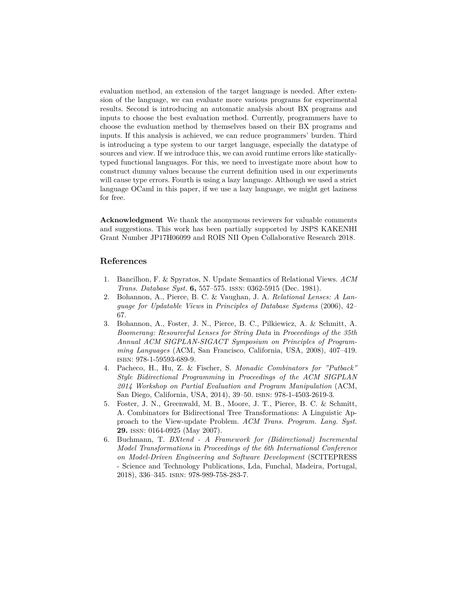evaluation method, an extension of the target language is needed. After extension of the language, we can evaluate more various programs for experimental results. Second is introducing an automatic analysis about BX programs and inputs to choose the best evaluation method. Currently, programmers have to choose the evaluation method by themselves based on their BX programs and inputs. If this analysis is achieved, we can reduce programmers' burden. Third is introducing a type system to our target language, especially the datatype of sources and view. If we introduce this, we can avoid runtime errors like staticallytyped functional languages. For this, we need to investigate more about how to construct dummy values because the current definition used in our experiments will cause type errors. Fourth is using a lazy language. Although we used a strict language OCaml in this paper, if we use a lazy language, we might get laziness for free.

**Acknowledgment** We thank the anonymous reviewers for valuable comments and suggestions. This work has been partially supported by JSPS KAKENHI Grant Number JP17H06099 and ROIS NII Open Collaborative Research 2018.

# **References**

- <span id="page-17-0"></span>1. Bancilhon, F. & Spyratos, N. Update Semantics of Relational Views. *ACM Trans. Database Syst.* **6,** 557–575. issn: 0362-5915 (Dec. 1981).
- <span id="page-17-1"></span>2. Bohannon, A., Pierce, B. C. & Vaughan, J. A. *Relational Lenses: A Language for Updatable Views* in *Principles of Database Systems* (2006), 42– 67.
- <span id="page-17-2"></span>3. Bohannon, A., Foster, J. N., Pierce, B. C., Pilkiewicz, A. & Schmitt, A. *Boomerang: Resourceful Lenses for String Data* in *Proceedings of the 35th Annual ACM SIGPLAN-SIGACT Symposium on Principles of Programming Languages* (ACM, San Francisco, California, USA, 2008), 407–419. isbn: 978-1-59593-689-9.
- <span id="page-17-3"></span>4. Pacheco, H., Hu, Z. & Fischer, S. *Monadic Combinators for "Putback" Style Bidirectional Programming* in *Proceedings of the ACM SIGPLAN 2014 Workshop on Partial Evaluation and Program Manipulation* (ACM, San Diego, California, USA, 2014), 39–50. isbn: 978-1-4503-2619-3.
- <span id="page-17-4"></span>5. Foster, J. N., Greenwald, M. B., Moore, J. T., Pierce, B. C. & Schmitt, A. Combinators for Bidirectional Tree Transformations: A Linguistic Approach to the View-update Problem. *ACM Trans. Program. Lang. Syst.* **29.** issn: 0164-0925 (May 2007).
- <span id="page-17-5"></span>6. Buchmann, T. *BXtend - A Framework for (Bidirectional) Incremental Model Transformations* in *Proceedings of the 6th International Conference on Model-Driven Engineering and Software Development* (SCITEPRESS - Science and Technology Publications, Lda, Funchal, Madeira, Portugal, 2018), 336–345. isbn: 978-989-758-283-7.